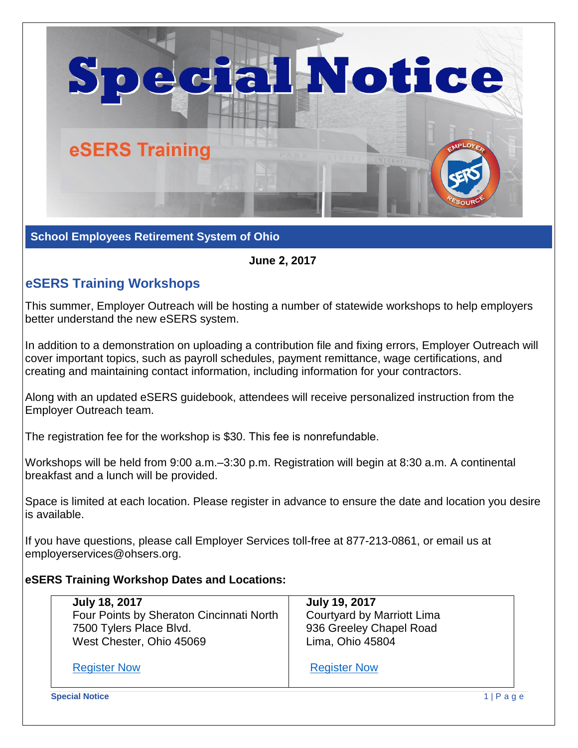

**School Employees Retirement System of Ohio**

## **June 2, 2017**

## **eSERS Training Workshops**

This summer, Employer Outreach will be hosting a number of statewide workshops to help employers better understand the new eSERS system.

In addition to a demonstration on uploading a contribution file and fixing errors, Employer Outreach will cover important topics, such as payroll schedules, payment remittance, wage certifications, and creating and maintaining contact information, including information for your contractors.

Along with an updated eSERS guidebook, attendees will receive personalized instruction from the Employer Outreach team.

The registration fee for the workshop is \$30. This fee is nonrefundable.

Workshops will be held from 9:00 a.m.–3:30 p.m. Registration will begin at 8:30 a.m. A continental breakfast and a lunch will be provided.

Space is limited at each location. Please register in advance to ensure the date and location you desire is available.

If you have questions, please call Employer Services toll-free at 877-213-0861, or email us at employerservices@ohsers.org.

## **eSERS Training Workshop Dates and Locations:**

| <b>July 18, 2017</b>                     | <b>July 19, 2017</b>       |
|------------------------------------------|----------------------------|
| Four Points by Sheraton Cincinnati North | Courtyard by Marriott Lima |
| 7500 Tylers Place Blvd.                  | 936 Greeley Chapel Road    |
| West Chester, Ohio 45069                 | Lima, Ohio 45804           |
| <b>Register Now</b>                      | <b>Register Now</b>        |

**Special Notice** 1 | P a g e